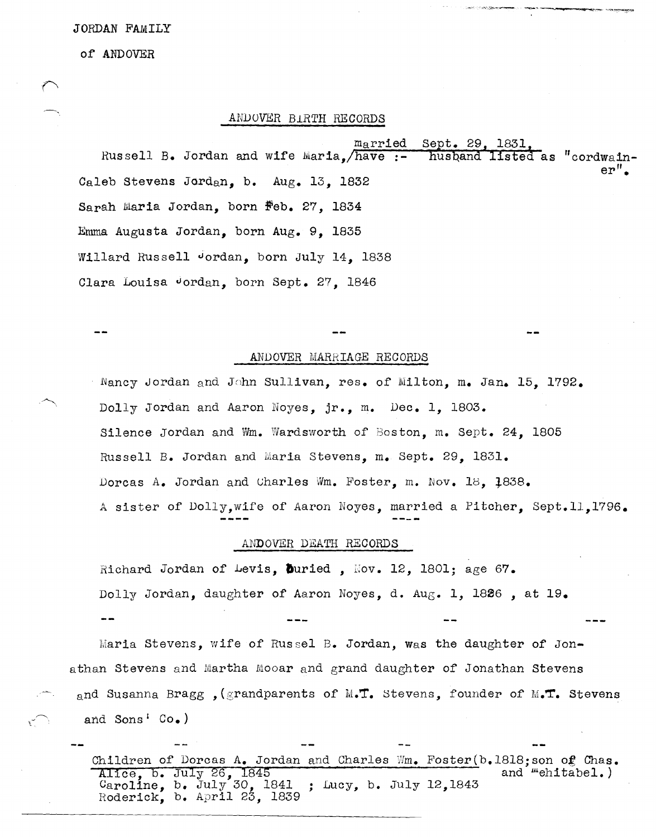#### JORDAN FAMILY

#### of ANDOVER

## ANDOVER BIRTH RECORDS

 $m_{\rm A}$ rried Sept. 29, 1831 Russell B. Jordan and wife Maria, have :husband listed as "cordwain-Caleb Stevens Jordan. b. Aug. 13. 1832 Sarah Maria Jordan, born Feb. 27, 1834 Emma Augusta Jordan, born Aug. 9, 1835 Willard Russell Jordan, born July 14, 1838 Clara Louisa Jordan, born Sept. 27, 1846

### ANDOVER MARRIAGE RECORDS

Nancy Jordan and John Sullivan, res. of Milton, m. Jan. 15, 1792. Dolly Jordan and Aaron Noyes, jr., m. Dec. 1, 1803. Silence Jordan and Wm. Wardsworth of Boston, m. Sept. 24, 1805 Russell B. Jordan and Maria Stevens, m. Sept. 29, 1831. Dorcas A. Jordan and Charles Wm. Foster, m. Nov. 18, 1838. A sister of Dolly, wife of Aaron Noyes, married a Pitcher, Sept. 11, 1796.

### ANDOVER DEATH RECORDS

Richard Jordan of Levis, Duried, Nov. 12, 1801; age 67. Dolly Jordan, daughter of Aaron Noyes, d. Aug. 1, 1826, at 19.

Maria Stevens, wife of Russel B. Jordan, was the daughter of Jonathan Stevens and Martha Mooar and grand daughter of Jonathan Stevens and Susanna Bragg , (grandparents of M.T. Stevens, founder of M.T. Stevens and Sons' Co.)

Children of Dorcas A. Jordan and Charles Wm. Foster(b.1818; son of Chas. Alice, b. July 26, 1845<br>Caroline, b. July 30, 1841 and *"*ehitabel.) ; Lucy, b. July 12, 1843 Roderick, b. April 23, 1839